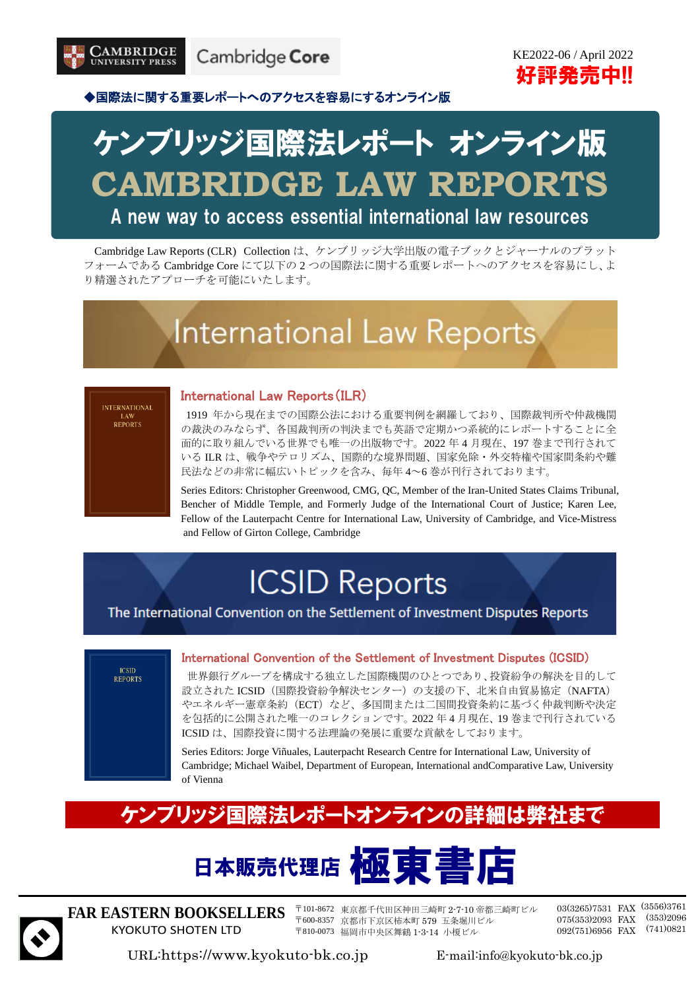

KE2022-06 / April 2022 好評発売中!!

◆国際法に関する重要レポートへのアクセスを容易にするオンライン版

# ケンブリッジ国際法レポート オンライン版 **CAMBRIDGE LAW REPORTS**

A new way to access essential international law resources

Cambridge Law Reports (CLR) Collection は、ケンブリッジ大学出版の電子ブックとジャーナルのプラット フォームである Cambridge Core にて以下の 2 つの国際法に関する重要レポートへのアクセスを容易にし、よ り精選されたアプローチを可能にいたします。

# **International Law Reports**

#### International Law Reports(ILR)

1919 年から現在までの国際公法における重要判例を網羅しており、国際裁判所や仲裁機関 の裁決のみならず、各国裁判所の判決までも英語で定期かつ系統的にレポートすることに全 面的に取り組んでいる世界でも唯一の出版物です。2022 年 4 月現在、197 巻まで刊行されて いる ILR は、戦争やテロリズム、国際的な境界問題、国家免除・外交特権や国家間条約や難 民法などの非常に幅広いトピックを含み、毎年 4~6 巻が刊行されております。

Series Editors: Christopher Greenwood, CMG, QC, Member of the Iran-United States Claims Tribunal, Bencher of Middle Temple, and Formerly Judge of the International Court of Justice; Karen Lee, Fellow of the Lauterpacht Centre for International Law, University of Cambridge, and Vice-Mistress and Fellow of Girton College, Cambridge

## **ICSID Reports**

The International Convention on the Settlement of Investment Disputes Reports



#### International Convention of the Settlement of Investment Disputes (ICSID)

世界銀行グループを構成する独立した国際機関のひとつであり、投資紛争の解決を目的して 設立された ICSID(国際投資紛争解決センター)の支援の下、北米自由貿易協定(NAFTA) やエネルギー憲章条約(ECT)など、多国間または二国間投資条約に基づく仲裁判断や決定 を包括的に公開された唯一のコレクションです。2022 年 4 月現在、19 巻まで刊行されている ICSID は、国際投資に関する法理論の発展に重要な貢献をしております。

Series Editors: Jorge Viñuales, Lauterpacht Research Centre for International Law, University of Cambridge; Michael Waibel, Department of European, International andComparative Law, University of Vienna

### ケンブリッジ国際法レポートオンラインの詳細は弊社まで





**FAR EASTERN BOOKSELLERS** KYOKUTO SHOTEN LTD

〒101-8672 東京都千代田区神田三崎町 2-7-10 帝都三崎町ビル 〒600-8357 京都市下京区柿本町 579 五条堀川ビル 〒810-0073 福岡市中央区舞鶴 1-3-14 小榎ビル

03(3265)7531 FAX (3556)3761 075(353)2093 FAX (353)2096 092(751)6956 FAX (741)0821

URL:https://www.kyokuto-bk.co.jp E-mail:info@kyokuto-bk.co.jp